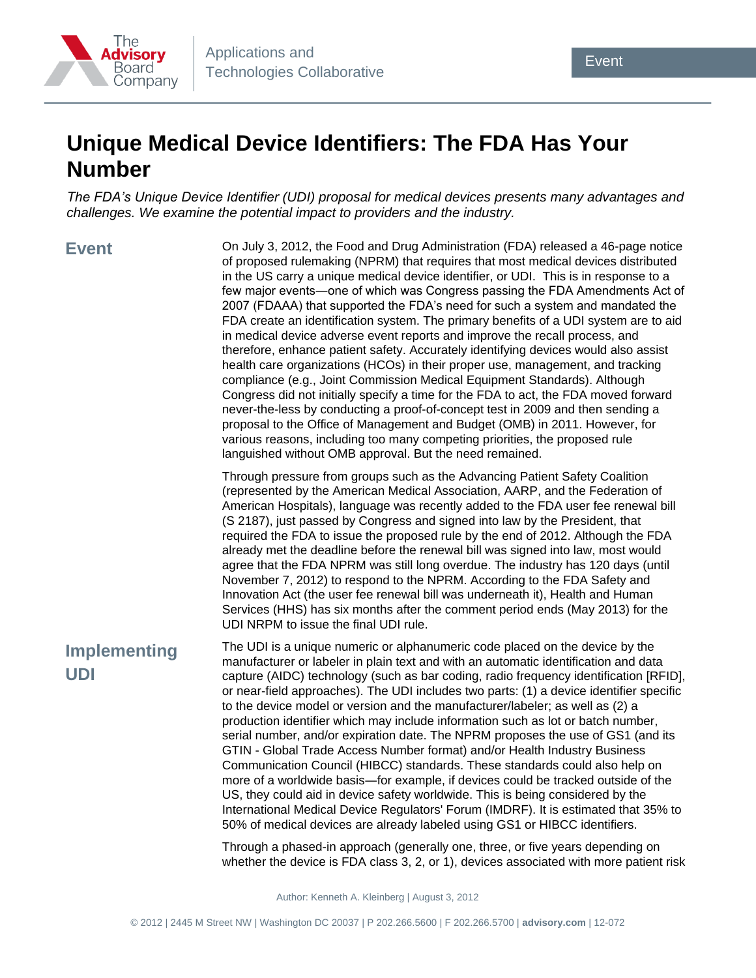

## **Unique Medical Device Identifiers: The FDA Has Your Number**

*The FDA's Unique Device Identifier (UDI) proposal for medical devices presents many advantages and challenges. We examine the potential impact to providers and the industry.*

**Event**

On July 3, 2012, the Food and Drug Administration (FDA) released a 46-page notice of proposed rulemaking (NPRM) that requires that most medical devices distributed in the US carry a unique medical device identifier, or UDI. This is in response to a few major events―one of which was Congress passing the FDA Amendments Act of 2007 (FDAAA) that supported the FDA's need for such a system and mandated the FDA create an identification system. The primary benefits of a UDI system are to aid in medical device adverse event reports and improve the recall process, and therefore, enhance patient safety. Accurately identifying devices would also assist health care organizations (HCOs) in their proper use, management, and tracking compliance (e.g., Joint Commission Medical Equipment Standards). Although Congress did not initially specify a time for the FDA to act, the FDA moved forward never-the-less by conducting a proof-of-concept test in 2009 and then sending a proposal to the Office of Management and Budget (OMB) in 2011. However, for various reasons, including too many competing priorities, the proposed rule languished without OMB approval. But the need remained.

Through pressure from groups such as the Advancing Patient Safety Coalition (represented by the American Medical Association, AARP, and the Federation of American Hospitals), language was recently added to the FDA user fee renewal bill (S 2187), just passed by Congress and signed into law by the President, that required the FDA to issue the proposed rule by the end of 2012. Although the FDA already met the deadline before the renewal bill was signed into law, most would agree that the FDA NPRM was still long overdue. The industry has 120 days (until November 7, 2012) to respond to the NPRM. According to the FDA Safety and Innovation Act (the user fee renewal bill was underneath it), Health and Human Services (HHS) has six months after the comment period ends (May 2013) for the UDI NRPM to issue the final UDI rule.

## **Implementing UDI**

The UDI is a unique numeric or alphanumeric code placed on the device by the manufacturer or labeler in plain text and with an automatic identification and data capture (AIDC) technology (such as bar coding, radio frequency identification [RFID], or near-field approaches). The UDI includes two parts: (1) a device identifier specific to the device model or version and the manufacturer/labeler; as well as (2) a production identifier which may include information such as lot or batch number, serial number, and/or expiration date. The NPRM proposes the use of GS1 (and its GTIN - Global Trade Access Number format) and/or Health Industry Business Communication Council (HIBCC) standards. These standards could also help on more of a worldwide basis―for example, if devices could be tracked outside of the US, they could aid in device safety worldwide. This is being considered by the International Medical Device Regulators' Forum (IMDRF). It is estimated that 35% to 50% of medical devices are already labeled using GS1 or HIBCC identifiers.

Through a phased-in approach (generally one, three, or five years depending on whether the device is FDA class 3, 2, or 1), devices associated with more patient risk

Author: Kenneth A. Kleinberg | August 3, 2012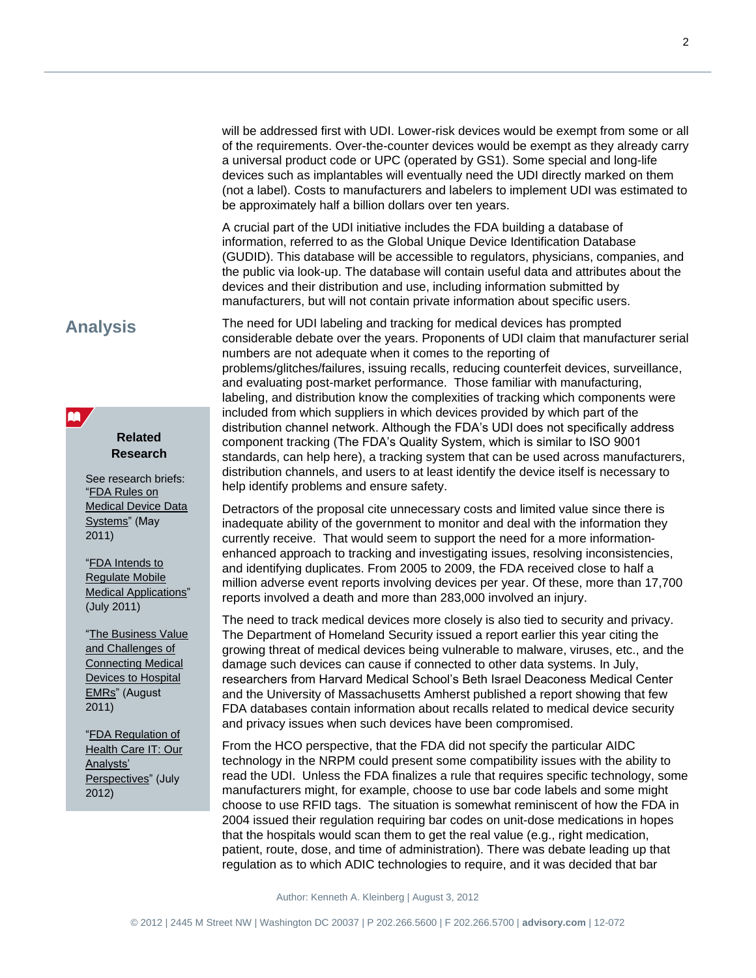will be addressed first with UDI. Lower-risk devices would be exempt from some or all of the requirements. Over-the-counter devices would be exempt as they already carry a universal product code or UPC (operated by GS1). Some special and long-life devices such as implantables will eventually need the UDI directly marked on them (not a label). Costs to manufacturers and labelers to implement UDI was estimated to be approximately half a billion dollars over ten years.

A crucial part of the UDI initiative includes the FDA building a database of information, referred to as the Global Unique Device Identification Database (GUDID). This database will be accessible to regulators, physicians, companies, and the public via look-up. The database will contain useful data and attributes about the devices and their distribution and use, including information submitted by manufacturers, but will not contain private information about specific users.

## **Analysis**

**AA** 

## **Related Research**

See research briefs: ["FDA Rules on](http://www.advisory.com/Research/Applications-and-Technologies-Collaborative/Research-Notes/2011/FDA-Rules-on-Medical-Device-Data-Systems)  [Medical Device Data](http://www.advisory.com/Research/Applications-and-Technologies-Collaborative/Research-Notes/2011/FDA-Rules-on-Medical-Device-Data-Systems)  [Systems"](http://www.advisory.com/Research/Applications-and-Technologies-Collaborative/Research-Notes/2011/FDA-Rules-on-Medical-Device-Data-Systems) (May 2011)

["FDA Intends to](http://www.advisory.com/Research/Applications-and-Technologies-Collaborative/Research-Notes/2011/FDA-Intends-to-Regulate-Mobile-Medical-Applications)  [Regulate Mobile](http://www.advisory.com/Research/Applications-and-Technologies-Collaborative/Research-Notes/2011/FDA-Intends-to-Regulate-Mobile-Medical-Applications)  [Medical Applications"](http://www.advisory.com/Research/Applications-and-Technologies-Collaborative/Research-Notes/2011/FDA-Intends-to-Regulate-Mobile-Medical-Applications) (July 2011)

["The Business Value](http://www.advisory.com/Research/IT-Strategy-Council/Research-Notes/2011/The-Business-Value-and-Challenges-of-Connecting-Medical-Devices-to-Hospital-EMRs)  [and Challenges of](http://www.advisory.com/Research/IT-Strategy-Council/Research-Notes/2011/The-Business-Value-and-Challenges-of-Connecting-Medical-Devices-to-Hospital-EMRs)  [Connecting Medical](http://www.advisory.com/Research/IT-Strategy-Council/Research-Notes/2011/The-Business-Value-and-Challenges-of-Connecting-Medical-Devices-to-Hospital-EMRs)  [Devices to Hospital](http://www.advisory.com/Research/IT-Strategy-Council/Research-Notes/2011/The-Business-Value-and-Challenges-of-Connecting-Medical-Devices-to-Hospital-EMRs)  [EMRs"](http://www.advisory.com/Research/IT-Strategy-Council/Research-Notes/2011/The-Business-Value-and-Challenges-of-Connecting-Medical-Devices-to-Hospital-EMRs) (August 2011)

["FDA Regulation of](http://www.advisory.com/Research/Applications-and-Technologies-Collaborative/Research-Notes/2012/FDA-Regulation-of-Health-Care-IT)  [Health Care IT: Our](http://www.advisory.com/Research/Applications-and-Technologies-Collaborative/Research-Notes/2012/FDA-Regulation-of-Health-Care-IT)  [Analysts'](http://www.advisory.com/Research/Applications-and-Technologies-Collaborative/Research-Notes/2012/FDA-Regulation-of-Health-Care-IT)  [Perspectives"](http://www.advisory.com/Research/Applications-and-Technologies-Collaborative/Research-Notes/2012/FDA-Regulation-of-Health-Care-IT) (July 2012)

The need for UDI labeling and tracking for medical devices has prompted considerable debate over the years. Proponents of UDI claim that manufacturer serial numbers are not adequate when it comes to the reporting of problems/glitches/failures, issuing recalls, reducing counterfeit devices, surveillance, and evaluating post-market performance. Those familiar with manufacturing, labeling, and distribution know the complexities of tracking which components were included from which suppliers in which devices provided by which part of the distribution channel network. Although the FDA's UDI does not specifically address component tracking (The FDA's Quality System, which is similar to ISO 9001 standards, can help here), a tracking system that can be used across manufacturers, distribution channels, and users to at least identify the device itself is necessary to help identify problems and ensure safety.

Detractors of the proposal cite unnecessary costs and limited value since there is inadequate ability of the government to monitor and deal with the information they currently receive. That would seem to support the need for a more informationenhanced approach to tracking and investigating issues, resolving inconsistencies, and identifying duplicates. From 2005 to 2009, the FDA received close to half a million adverse event reports involving devices per year. Of these, more than 17,700 reports involved a death and more than 283,000 involved an injury.

The need to track medical devices more closely is also tied to security and privacy. The Department of Homeland Security issued a report earlier this year citing the growing threat of medical devices being vulnerable to malware, viruses, etc., and the damage such devices can cause if connected to other data systems. In July, researchers from Harvard Medical School's Beth Israel Deaconess Medical Center and the University of Massachusetts Amherst published a report showing that few FDA databases contain information about recalls related to medical device security and privacy issues when such devices have been compromised.

From the HCO perspective, that the FDA did not specify the particular AIDC technology in the NRPM could present some compatibility issues with the ability to read the UDI. Unless the FDA finalizes a rule that requires specific technology, some manufacturers might, for example, choose to use bar code labels and some might choose to use RFID tags. The situation is somewhat reminiscent of how the FDA in 2004 issued their regulation requiring bar codes on unit-dose medications in hopes that the hospitals would scan them to get the real value (e.g., right medication, patient, route, dose, and time of administration). There was debate leading up that regulation as to which ADIC technologies to require, and it was decided that bar